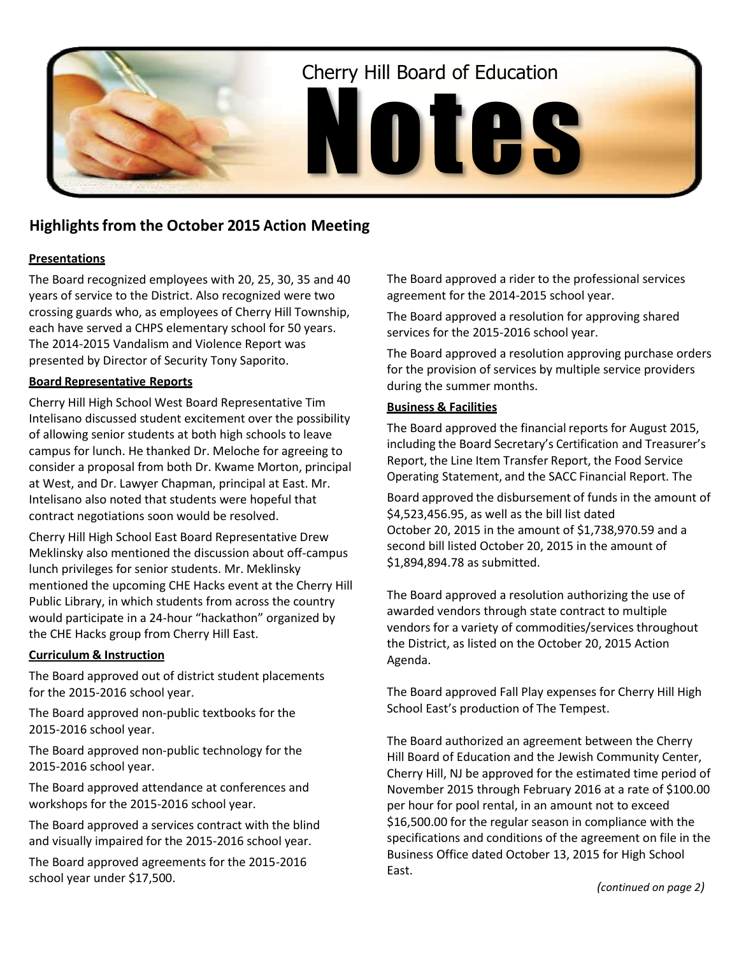

# **Highlightsfrom the October 2015 Action Meeting**

# **Presentations**

The Board recognized employees with 20, 25, 30, 35 and 40 years of service to the District. Also recognized were two crossing guards who, as employees of Cherry Hill Township, each have served a CHPS elementary school for 50 years. The 2014-2015 Vandalism and Violence Report was presented by Director of Security Tony Saporito.

# **Board Representative Reports**

Cherry Hill High School West Board Representative Tim Intelisano discussed student excitement over the possibility of allowing senior students at both high schools to leave campus for lunch. He thanked Dr. Meloche for agreeing to consider a proposal from both Dr. Kwame Morton, principal at West, and Dr. Lawyer Chapman, principal at East. Mr. Intelisano also noted that students were hopeful that contract negotiations soon would be resolved.

Cherry Hill High School East Board Representative Drew Meklinsky also mentioned the discussion about off-campus lunch privileges for senior students. Mr. Meklinsky mentioned the upcoming CHE Hacks event at the Cherry Hill Public Library, in which students from across the country would participate in a 24-hour "hackathon" organized by the CHE Hacks group from Cherry Hill East.

## **Curriculum & Instruction**

The Board approved out of district student placements for the 2015-2016 school year.

The Board approved non-public textbooks for the 2015-2016 school year.

The Board approved non-public technology for the 2015-2016 school year.

The Board approved attendance at conferences and workshops for the 2015-2016 school year.

The Board approved a services contract with the blind and visually impaired for the 2015-2016 school year.

The Board approved agreements for the 2015-2016 school year under \$17,500.

The Board approved a rider to the professional services agreement for the 2014-2015 school year.

The Board approved a resolution for approving shared services for the 2015-2016 school year.

The Board approved a resolution approving purchase orders for the provision of services by multiple service providers during the summer months.

## **Business & Facilities**

The Board approved the financial reports for August 2015, including the Board Secretary's Certification and Treasurer's Report, the Line Item Transfer Report, the Food Service Operating Statement, and the SACC Financial Report. The

Board approved the disbursement of funds in the amount of \$4,523,456.95, as well as the bill list dated October 20, 2015 in the amount of \$1,738,970.59 and a second bill listed October 20, 2015 in the amount of \$1,894,894.78 as submitted.

The Board approved a resolution authorizing the use of awarded vendors through state contract to multiple vendors for a variety of commodities/services throughout the District, as listed on the October 20, 2015 Action Agenda.

The Board approved Fall Play expenses for Cherry Hill High School East's production of The Tempest.

The Board authorized an agreement between the Cherry Hill Board of Education and the Jewish Community Center, Cherry Hill, NJ be approved for the estimated time period of November 2015 through February 2016 at a rate of \$100.00 per hour for pool rental, in an amount not to exceed \$16,500.00 for the regular season in compliance with the specifications and conditions of the agreement on file in the Business Office dated October 13, 2015 for High School East.

*(continued on page 2)*